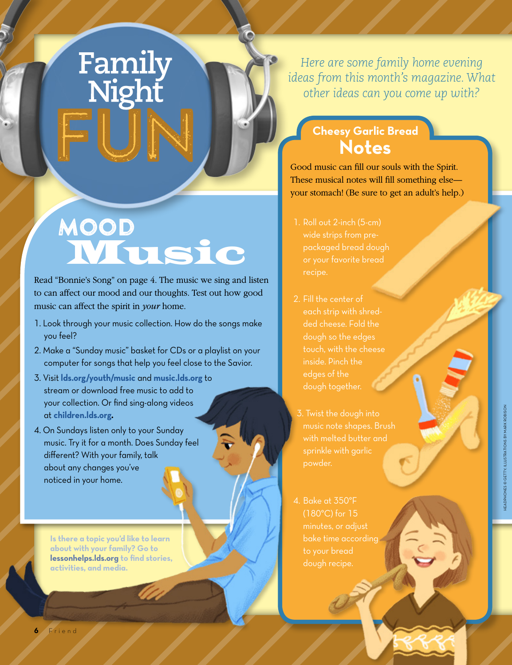# **Family<br>Night**

*Here are some family home evening ideas from this month's magazine. What other ideas can you come up with?*

#### **Cheesy Garlic Bread Notes**

Good music can fill our souls with the Spirit. These musical notes will fill something else your stomach! (Be sure to get an adult's help.)

1. Roll out 2-inch (5-cm) wide strips from preor your favorite bread recipe.

 $\overline{\mathbf{3}}$ 

- 2. Fill the center of each strip with shredded cheese. Fold the dough so the edges touch, with the cheese inside. Pinch the edges of the
- music note shapes. Brush with melted butter and powder.

4. Bake at 350°F (180°C) for 15 bake time according to your bread

# Mood Music

Read "Bonnie's Song" on page 4. The music we sing and listen to can affect our mood and our thoughts. Test out how good music can affect the spirit in *your* home.

- 1. Look through your music collection. How do the songs make you feel?
- 2. Make a "Sunday music" basket for CDs or a playlist on your computer for songs that help you feel close to the Savior.
- 3. Visit **[lds.org/youth/music](http://lds.org/youth/music)** and **[music.lds.org](http://music.lds.org)** to stream or download free music to add to your collection. Or find sing-along videos at **[children.lds.org](http://children.lds.org).**
- 4. On Sundays listen only to your Sunday music. Try it for a month. Does Sunday feel different? With your family, talk about any changes you've noticed in your home.

**Is there a topic you'd like to learn about with your family? Go to [lessonhelps.lds.org](http://lessonhelps.lds.org) to find stories, activities, and media.**

HEADPHONES © GETTY; ILLUSTRATIONS BY MARK ROBISON